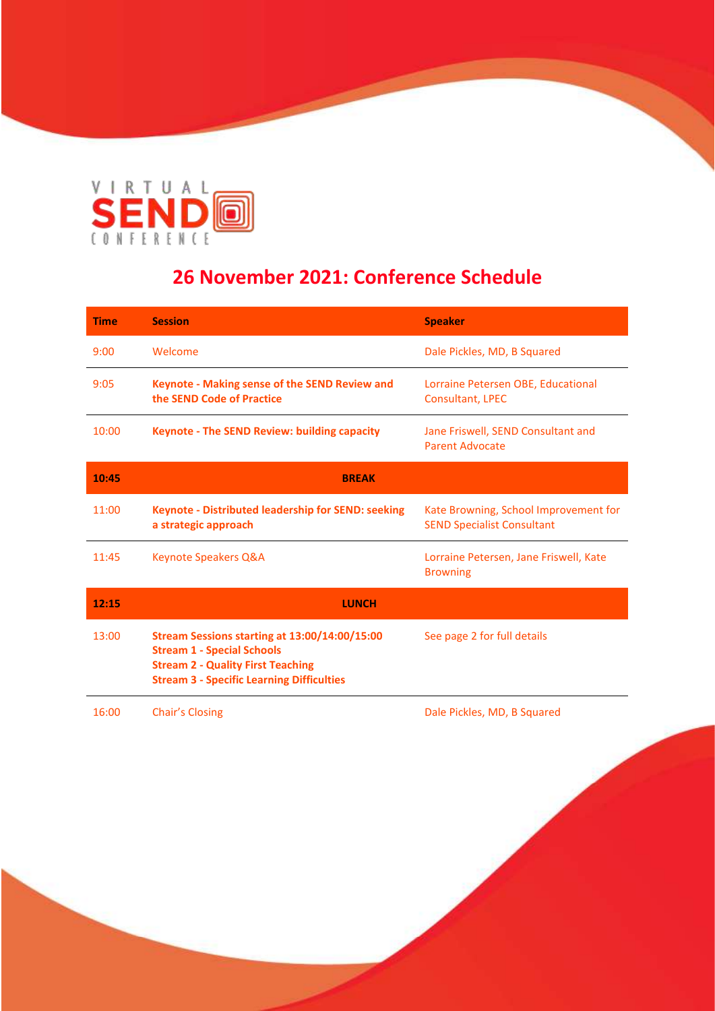

## **26 November 2021: Conference Schedule**

| <b>Time</b> | <b>Session</b>                                                                                                                                                                     | <b>Speaker</b>                                                             |  |
|-------------|------------------------------------------------------------------------------------------------------------------------------------------------------------------------------------|----------------------------------------------------------------------------|--|
| 9:00        | Welcome                                                                                                                                                                            | Dale Pickles, MD, B Squared                                                |  |
| 9:05        | Keynote - Making sense of the SEND Review and<br>the SEND Code of Practice                                                                                                         | Lorraine Petersen OBE, Educational<br><b>Consultant, LPEC</b>              |  |
| 10:00       | <b>Keynote - The SEND Review: building capacity</b>                                                                                                                                | Jane Friswell, SEND Consultant and<br><b>Parent Advocate</b>               |  |
| 10:45       | <b>BREAK</b>                                                                                                                                                                       |                                                                            |  |
| 11:00       | <b>Keynote - Distributed leadership for SEND: seeking</b><br>a strategic approach                                                                                                  | Kate Browning, School Improvement for<br><b>SEND Specialist Consultant</b> |  |
| 11:45       | <b>Keynote Speakers Q&amp;A</b>                                                                                                                                                    | Lorraine Petersen, Jane Friswell, Kate<br><b>Browning</b>                  |  |
| 12:15       | <b>LUNCH</b>                                                                                                                                                                       |                                                                            |  |
| 13:00       | Stream Sessions starting at 13:00/14:00/15:00<br><b>Stream 1 - Special Schools</b><br><b>Stream 2 - Quality First Teaching</b><br><b>Stream 3 - Specific Learning Difficulties</b> | See page 2 for full details                                                |  |
| 16:00       | Chair's Closing                                                                                                                                                                    | Dale Pickles, MD, B Squared                                                |  |

 $\overline{\phantom{a}}$